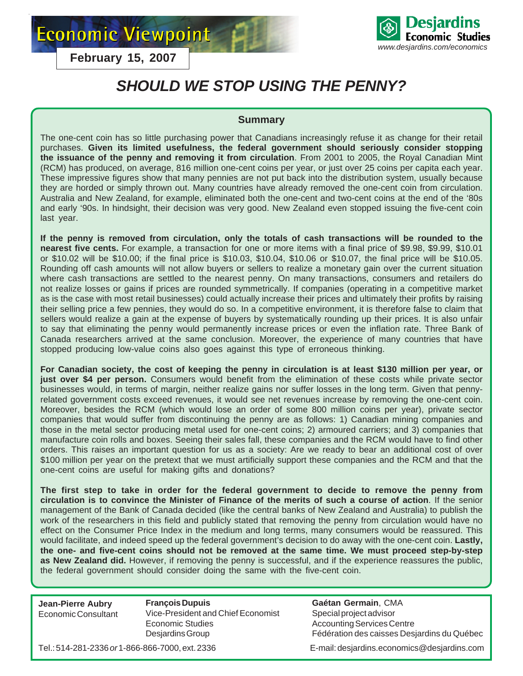**Economic Viewpoint** 

Desiardins **Economic Studies** *www.desjardins.com/economics*

**February 15, 2007**

# *SHOULD WE STOP USING THE PENNY?*

# **Summary**

The one-cent coin has so little purchasing power that Canadians increasingly refuse it as change for their retail purchases. **Given its limited usefulness, the federal government should seriously consider stopping the issuance of the penny and removing it from circulation**. From 2001 to 2005, the Royal Canadian Mint (RCM) has produced, on average, 816 million one-cent coins per year, or just over 25 coins per capita each year. These impressive figures show that many pennies are not put back into the distribution system, usually because they are horded or simply thrown out. Many countries have already removed the one-cent coin from circulation. Australia and New Zealand, for example, eliminated both the one-cent and two-cent coins at the end of the '80s and early '90s. In hindsight, their decision was very good. New Zealand even stopped issuing the five-cent coin last year.

**If the penny is removed from circulation, only the totals of cash transactions will be rounded to the nearest five cents.** For example, a transaction for one or more items with a final price of \$9.98, \$9.99, \$10.01 or \$10.02 will be \$10.00; if the final price is \$10.03, \$10.04, \$10.06 or \$10.07, the final price will be \$10.05. Rounding off cash amounts will not allow buyers or sellers to realize a monetary gain over the current situation where cash transactions are settled to the nearest penny. On many transactions, consumers and retailers do not realize losses or gains if prices are rounded symmetrically. If companies (operating in a competitive market as is the case with most retail businesses) could actually increase their prices and ultimately their profits by raising their selling price a few pennies, they would do so. In a competitive environment, it is therefore false to claim that sellers would realize a gain at the expense of buyers by systematically rounding up their prices. It is also unfair to say that eliminating the penny would permanently increase prices or even the inflation rate. Three Bank of Canada researchers arrived at the same conclusion. Moreover, the experience of many countries that have stopped producing low-value coins also goes against this type of erroneous thinking.

**For Canadian society, the cost of keeping the penny in circulation is at least \$130 million per year, or just over \$4 per person.** Consumers would benefit from the elimination of these costs while private sector businesses would, in terms of margin, neither realize gains nor suffer losses in the long term. Given that pennyrelated government costs exceed revenues, it would see net revenues increase by removing the one-cent coin. Moreover, besides the RCM (which would lose an order of some 800 million coins per year), private sector companies that would suffer from discontinuing the penny are as follows: 1) Canadian mining companies and those in the metal sector producing metal used for one-cent coins; 2) armoured carriers; and 3) companies that manufacture coin rolls and boxes. Seeing their sales fall, these companies and the RCM would have to find other orders. This raises an important question for us as a society: Are we ready to bear an additional cost of over \$100 million per year on the pretext that we must artificially support these companies and the RCM and that the one-cent coins are useful for making gifts and donations?

**The first step to take in order for the federal government to decide to remove the penny from circulation is to convince the Minister of Finance of the merits of such a course of action**. If the senior management of the Bank of Canada decided (like the central banks of New Zealand and Australia) to publish the work of the researchers in this field and publicly stated that removing the penny from circulation would have no effect on the Consumer Price Index in the medium and long terms, many consumers would be reassured. This would facilitate, and indeed speed up the federal government's decision to do away with the one-cent coin. **Lastly, the one- and five-cent coins should not be removed at the same time. We must proceed step-by-step as New Zealand did.** However, if removing the penny is successful, and if the experience reassures the public, the federal government should consider doing the same with the five-cent coin.

**Jean-Pierre Aubry** Economic Consultant

**François Dupuis** Vice-President and Chief Economist Economic Studies Desjardins Group

**Gaétan Germain**, CMA Special project advisor Accounting Services Centre Fédération des caisses Desjardins du Québec

Tel.: 514-281-2336 *or* 1-866-866-7000, ext. 2336 E-mail: desjardins.economics@desjardins.com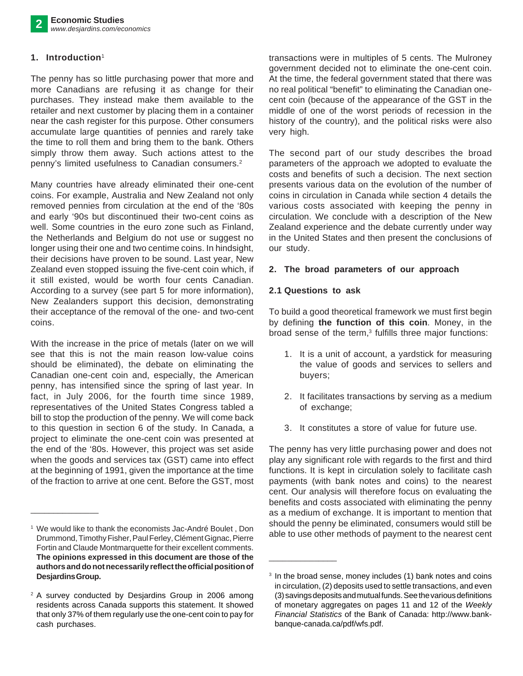# **1. Introduction**<sup>1</sup>

The penny has so little purchasing power that more and more Canadians are refusing it as change for their purchases. They instead make them available to the retailer and next customer by placing them in a container near the cash register for this purpose. Other consumers accumulate large quantities of pennies and rarely take the time to roll them and bring them to the bank. Others simply throw them away. Such actions attest to the penny's limited usefulness to Canadian consumers.<sup>2</sup>

Many countries have already eliminated their one-cent coins. For example, Australia and New Zealand not only removed pennies from circulation at the end of the '80s and early '90s but discontinued their two-cent coins as well. Some countries in the euro zone such as Finland, the Netherlands and Belgium do not use or suggest no longer using their one and two centime coins. In hindsight, their decisions have proven to be sound. Last year, New Zealand even stopped issuing the five-cent coin which, if it still existed, would be worth four cents Canadian. According to a survey (see part 5 for more information), New Zealanders support this decision, demonstrating their acceptance of the removal of the one- and two-cent coins.

With the increase in the price of metals (later on we will see that this is not the main reason low-value coins should be eliminated), the debate on eliminating the Canadian one-cent coin and, especially, the American penny, has intensified since the spring of last year. In fact, in July 2006, for the fourth time since 1989, representatives of the United States Congress tabled a bill to stop the production of the penny. We will come back to this question in section 6 of the study. In Canada, a project to eliminate the one-cent coin was presented at the end of the '80s. However, this project was set aside when the goods and services tax (GST) came into effect at the beginning of 1991, given the importance at the time of the fraction to arrive at one cent. Before the GST, most

\_\_\_\_\_\_\_\_\_\_\_\_\_\_\_

transactions were in multiples of 5 cents. The Mulroney government decided not to eliminate the one-cent coin. At the time, the federal government stated that there was no real political "benefit" to eliminating the Canadian onecent coin (because of the appearance of the GST in the middle of one of the worst periods of recession in the history of the country), and the political risks were also very high.

The second part of our study describes the broad parameters of the approach we adopted to evaluate the costs and benefits of such a decision. The next section presents various data on the evolution of the number of coins in circulation in Canada while section 4 details the various costs associated with keeping the penny in circulation. We conclude with a description of the New Zealand experience and the debate currently under way in the United States and then present the conclusions of our study.

#### **2. The broad parameters of our approach**

#### **2.1 Questions to ask**

\_\_\_\_\_\_\_\_\_\_\_\_\_\_\_

To build a good theoretical framework we must first begin by defining **the function of this coin**. Money, in the broad sense of the term,<sup>3</sup> fulfills three major functions:

- 1. It is a unit of account, a yardstick for measuring the value of goods and services to sellers and buyers;
- 2. It facilitates transactions by serving as a medium of exchange;
- 3. It constitutes a store of value for future use.

The penny has very little purchasing power and does not play any significant role with regards to the first and third functions. It is kept in circulation solely to facilitate cash payments (with bank notes and coins) to the nearest cent. Our analysis will therefore focus on evaluating the benefits and costs associated with eliminating the penny as a medium of exchange. It is important to mention that should the penny be eliminated, consumers would still be able to use other methods of payment to the nearest cent

<sup>&</sup>lt;sup>1</sup> We would like to thank the economists Jac-André Boulet, Don Drummond, Timothy Fisher, Paul Ferley, Clément Gignac, Pierre Fortin and Claude Montmarquette for their excellent comments. **The opinions expressed in this document are those of the authors and do not necessarily reflect the official position of Desjardins Group.**

<sup>&</sup>lt;sup>2</sup> A survey conducted by Desjardins Group in 2006 among residents across Canada supports this statement. It showed that only 37% of them regularly use the one-cent coin to pay for cash purchases.

<sup>&</sup>lt;sup>3</sup> In the broad sense, money includes (1) bank notes and coins in circulation, (2) deposits used to settle transactions, and even (3) savings deposits and mutual funds. See the various definitions of monetary aggregates on pages 11 and 12 of the *Weekly Financial Statistics* of the Bank of Canada: http://www.bankbanque-canada.ca/pdf/wfs.pdf.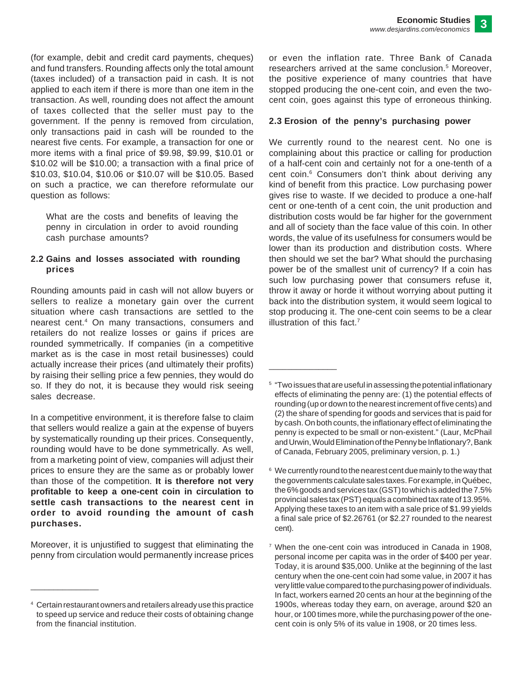(for example, debit and credit card payments, cheques) and fund transfers. Rounding affects only the total amount (taxes included) of a transaction paid in cash. It is not applied to each item if there is more than one item in the transaction. As well, rounding does not affect the amount of taxes collected that the seller must pay to the government. If the penny is removed from circulation, only transactions paid in cash will be rounded to the nearest five cents. For example, a transaction for one or more items with a final price of \$9.98, \$9.99, \$10.01 or \$10.02 will be \$10.00; a transaction with a final price of \$10.03, \$10.04, \$10.06 or \$10.07 will be \$10.05. Based on such a practice, we can therefore reformulate our question as follows:

What are the costs and benefits of leaving the penny in circulation in order to avoid rounding cash purchase amounts?

#### **2.2 Gains and losses associated with rounding prices**

Rounding amounts paid in cash will not allow buyers or sellers to realize a monetary gain over the current situation where cash transactions are settled to the nearest cent.4 On many transactions, consumers and retailers do not realize losses or gains if prices are rounded symmetrically. If companies (in a competitive market as is the case in most retail businesses) could actually increase their prices (and ultimately their profits) by raising their selling price a few pennies, they would do so. If they do not, it is because they would risk seeing sales decrease.

In a competitive environment, it is therefore false to claim that sellers would realize a gain at the expense of buyers by systematically rounding up their prices. Consequently, rounding would have to be done symmetrically. As well, from a marketing point of view, companies will adjust their prices to ensure they are the same as or probably lower than those of the competition. **It is therefore not very profitable to keep a one-cent coin in circulation to settle cash transactions to the nearest cent in order to avoid rounding the amount of cash purchases.**

Moreover, it is unjustified to suggest that eliminating the penny from circulation would permanently increase prices

\_\_\_\_\_\_\_\_\_\_\_\_\_\_\_

or even the inflation rate. Three Bank of Canada researchers arrived at the same conclusion.<sup>5</sup> Moreover, the positive experience of many countries that have stopped producing the one-cent coin, and even the twocent coin, goes against this type of erroneous thinking.

#### **2.3 Erosion of the penny's purchasing power**

We currently round to the nearest cent. No one is complaining about this practice or calling for production of a half-cent coin and certainly not for a one-tenth of a cent coin.<sup>6</sup> Consumers don't think about deriving any kind of benefit from this practice. Low purchasing power gives rise to waste. If we decided to produce a one-half cent or one-tenth of a cent coin, the unit production and distribution costs would be far higher for the government and all of society than the face value of this coin. In other words, the value of its usefulness for consumers would be lower than its production and distribution costs. Where then should we set the bar? What should the purchasing power be of the smallest unit of currency? If a coin has such low purchasing power that consumers refuse it, throw it away or horde it without worrying about putting it back into the distribution system, it would seem logical to stop producing it. The one-cent coin seems to be a clear illustration of this fact.7

<sup>4</sup> Certain restaurant owners and retailers already use this practice to speed up service and reduce their costs of obtaining change from the financial institution.

<sup>5</sup> "Two issues that are useful in assessing the potential inflationary effects of eliminating the penny are: (1) the potential effects of rounding (up or down to the nearest increment of five cents) and (2) the share of spending for goods and services that is paid for by cash. On both counts, the inflationary effect of eliminating the penny is expected to be small or non-existent." (Laur, McPhail and Urwin, Would Elimination of the Penny be Inflationary?, Bank of Canada, February 2005, preliminary version, p. 1.)

 $6\,$  We currently round to the nearest cent due mainly to the way that the governments calculate sales taxes. For example, in Québec, the 6% goods and services tax (GST) to which is added the 7.5% provincial sales tax (PST) equals a combined tax rate of 13.95%. Applying these taxes to an item with a sale price of \$1.99 yields a final sale price of \$2.26761 (or \$2.27 rounded to the nearest cent).

<sup>7</sup> When the one-cent coin was introduced in Canada in 1908, personal income per capita was in the order of \$400 per year. Today, it is around \$35,000. Unlike at the beginning of the last century when the one-cent coin had some value, in 2007 it has very little value compared to the purchasing power of individuals. In fact, workers earned 20 cents an hour at the beginning of the 1900s, whereas today they earn, on average, around \$20 an hour, or 100 times more, while the purchasing power of the onecent coin is only 5% of its value in 1908, or 20 times less.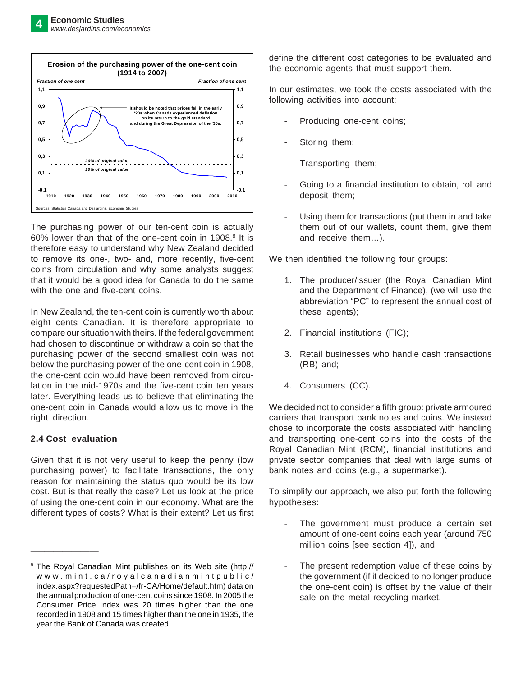

The purchasing power of our ten-cent coin is actually 60% lower than that of the one-cent coin in 1908.<sup>8</sup> It is therefore easy to understand why New Zealand decided to remove its one-, two- and, more recently, five-cent coins from circulation and why some analysts suggest that it would be a good idea for Canada to do the same with the one and five-cent coins.

In New Zealand, the ten-cent coin is currently worth about eight cents Canadian. It is therefore appropriate to compare our situation with theirs. If the federal government had chosen to discontinue or withdraw a coin so that the purchasing power of the second smallest coin was not below the purchasing power of the one-cent coin in 1908, the one-cent coin would have been removed from circulation in the mid-1970s and the five-cent coin ten years later. Everything leads us to believe that eliminating the one-cent coin in Canada would allow us to move in the right direction.

# **2.4 Cost evaluation**

\_\_\_\_\_\_\_\_\_\_\_\_\_\_\_

Given that it is not very useful to keep the penny (low purchasing power) to facilitate transactions, the only reason for maintaining the status quo would be its low cost. But is that really the case? Let us look at the price of using the one-cent coin in our economy. What are the different types of costs? What is their extent? Let us first define the different cost categories to be evaluated and the economic agents that must support them.

In our estimates, we took the costs associated with the following activities into account:

- Producing one-cent coins;
- Storing them;
- Transporting them;
- Going to a financial institution to obtain, roll and deposit them;
- Using them for transactions (put them in and take them out of our wallets, count them, give them and receive them…).

We then identified the following four groups:

- 1. The producer/issuer (the Royal Canadian Mint and the Department of Finance), (we will use the abbreviation "PC" to represent the annual cost of these agents);
- 2. Financial institutions (FIC);
- 3. Retail businesses who handle cash transactions (RB) and;
- 4. Consumers (CC).

We decided not to consider a fifth group: private armoured carriers that transport bank notes and coins. We instead chose to incorporate the costs associated with handling and transporting one-cent coins into the costs of the Royal Canadian Mint (RCM), financial institutions and private sector companies that deal with large sums of bank notes and coins (e.g., a supermarket).

To simplify our approach, we also put forth the following hypotheses:

- The government must produce a certain set amount of one-cent coins each year (around 750 million coins [see section 4]), and
- The present redemption value of these coins by the government (if it decided to no longer produce the one-cent coin) is offset by the value of their sale on the metal recycling market.

<sup>&</sup>lt;sup>8</sup> The Royal Canadian Mint publishes on its Web site (http:// www.mint.ca/royalcanadianmintpublic/ index.aspx?requestedPath=/fr-CA/Home/default.htm) data on the annual production of one-cent coins since 1908. In 2005 the Consumer Price Index was 20 times higher than the one recorded in 1908 and 15 times higher than the one in 1935, the year the Bank of Canada was created.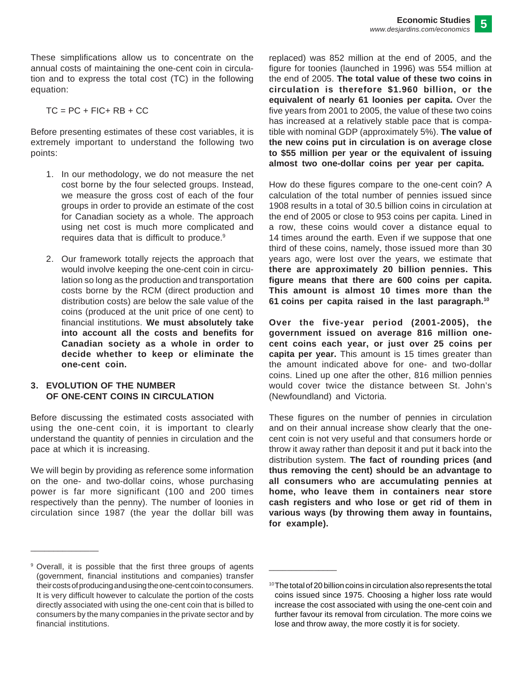These simplifications allow us to concentrate on the annual costs of maintaining the one-cent coin in circulation and to express the total cost (TC) in the following equation:

$$
TC = PC + FIC + RB + CC
$$

Before presenting estimates of these cost variables, it is extremely important to understand the following two points:

- 1. In our methodology, we do not measure the net cost borne by the four selected groups. Instead, we measure the gross cost of each of the four groups in order to provide an estimate of the cost for Canadian society as a whole. The approach using net cost is much more complicated and requires data that is difficult to produce.<sup>9</sup>
- 2. Our framework totally rejects the approach that would involve keeping the one-cent coin in circulation so long as the production and transportation costs borne by the RCM (direct production and distribution costs) are below the sale value of the coins (produced at the unit price of one cent) to financial institutions. **We must absolutely take into account all the costs and benefits for Canadian society as a whole in order to decide whether to keep or eliminate the one-cent coin.**

#### **3. EVOLUTION OF THE NUMBER OF ONE-CENT COINS IN CIRCULATION**

Before discussing the estimated costs associated with using the one-cent coin, it is important to clearly understand the quantity of pennies in circulation and the pace at which it is increasing.

We will begin by providing as reference some information on the one- and two-dollar coins, whose purchasing power is far more significant (100 and 200 times respectively than the penny). The number of loonies in circulation since 1987 (the year the dollar bill was

replaced) was 852 million at the end of 2005, and the figure for toonies (launched in 1996) was 554 million at the end of 2005. **The total value of these two coins in circulation is therefore \$1.960 billion, or the equivalent of nearly 61 loonies per capita.** Over the five years from 2001 to 2005, the value of these two coins has increased at a relatively stable pace that is compatible with nominal GDP (approximately 5%). **The value of the new coins put in circulation is on average close to \$55 million per year or the equivalent of issuing almost two one-dollar coins per year per capita.**

How do these figures compare to the one-cent coin? A calculation of the total number of pennies issued since 1908 results in a total of 30.5 billion coins in circulation at the end of 2005 or close to 953 coins per capita. Lined in a row, these coins would cover a distance equal to 14 times around the earth. Even if we suppose that one third of these coins, namely, those issued more than 30 years ago, were lost over the years, we estimate that **there are approximately 20 billion pennies. This figure means that there are 600 coins per capita. This amount is almost 10 times more than the 61 coins per capita raised in the last paragraph.10**

**Over the five-year period (2001-2005), the government issued on average 816 million onecent coins each year, or just over 25 coins per capita per year.** This amount is 15 times greater than the amount indicated above for one- and two-dollar coins. Lined up one after the other, 816 million pennies would cover twice the distance between St. John's (Newfoundland) and Victoria.

These figures on the number of pennies in circulation and on their annual increase show clearly that the onecent coin is not very useful and that consumers horde or throw it away rather than deposit it and put it back into the distribution system. **The fact of rounding prices (and thus removing the cent) should be an advantage to all consumers who are accumulating pennies at home, who leave them in containers near store cash registers and who lose or get rid of them in various ways (by throwing them away in fountains, for example).**

\_\_\_\_\_\_\_\_\_\_\_\_\_\_\_

<sup>9</sup> Overall, it is possible that the first three groups of agents (government, financial institutions and companies) transfer their costs of producing and using the one-cent coin to consumers. It is very difficult however to calculate the portion of the costs directly associated with using the one-cent coin that is billed to consumers by the many companies in the private sector and by financial institutions.

<sup>10</sup>The total of 20 billion coins in circulation also represents the total coins issued since 1975. Choosing a higher loss rate would increase the cost associated with using the one-cent coin and further favour its removal from circulation. The more coins we lose and throw away, the more costly it is for society.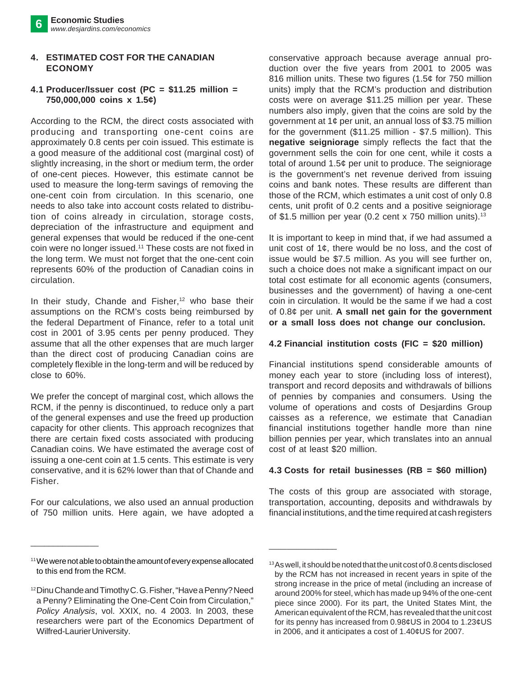#### **4. ESTIMATED COST FOR THE CANADIAN ECONOMY**

# **4.1 Producer/Issuer cost (PC = \$11.25 million = 750,000,000 coins x 1.5¢)**

According to the RCM, the direct costs associated with producing and transporting one-cent coins are approximately 0.8 cents per coin issued. This estimate is a good measure of the additional cost (marginal cost) of slightly increasing, in the short or medium term, the order of one-cent pieces. However, this estimate cannot be used to measure the long-term savings of removing the one-cent coin from circulation. In this scenario, one needs to also take into account costs related to distribution of coins already in circulation, storage costs, depreciation of the infrastructure and equipment and general expenses that would be reduced if the one-cent coin were no longer issued.11 These costs are not fixed in the long term. We must not forget that the one-cent coin represents 60% of the production of Canadian coins in circulation.

In their study, Chande and Fisher,<sup>12</sup> who base their assumptions on the RCM's costs being reimbursed by the federal Department of Finance, refer to a total unit cost in 2001 of 3.95 cents per penny produced. They assume that all the other expenses that are much larger than the direct cost of producing Canadian coins are completely flexible in the long-term and will be reduced by close to 60%.

We prefer the concept of marginal cost, which allows the RCM, if the penny is discontinued, to reduce only a part of the general expenses and use the freed up production capacity for other clients. This approach recognizes that there are certain fixed costs associated with producing Canadian coins. We have estimated the average cost of issuing a one-cent coin at 1.5 cents. This estimate is very conservative, and it is 62% lower than that of Chande and Fisher.

For our calculations, we also used an annual production of 750 million units. Here again, we have adopted a conservative approach because average annual production over the five years from 2001 to 2005 was 816 million units. These two figures (1.5¢ for 750 million units) imply that the RCM's production and distribution costs were on average \$11.25 million per year. These numbers also imply, given that the coins are sold by the government at 1¢ per unit, an annual loss of \$3.75 million for the government (\$11.25 million - \$7.5 million). This **negative seigniorage** simply reflects the fact that the government sells the coin for one cent, while it costs a total of around 1.5¢ per unit to produce. The seigniorage is the government's net revenue derived from issuing coins and bank notes. These results are different than those of the RCM, which estimates a unit cost of only 0.8 cents, unit profit of 0.2 cents and a positive seigniorage of \$1.5 million per year (0.2 cent x 750 million units).<sup>13</sup>

It is important to keep in mind that, if we had assumed a unit cost of  $1¢$ , there would be no loss, and the cost of issue would be \$7.5 million. As you will see further on, such a choice does not make a significant impact on our total cost estimate for all economic agents (consumers, businesses and the government) of having a one-cent coin in circulation. It would be the same if we had a cost of 0.8¢ per unit. **A small net gain for the government or a small loss does not change our conclusion.**

# **4.2 Financial institution costs (FIC = \$20 million)**

Financial institutions spend considerable amounts of money each year to store (including loss of interest), transport and record deposits and withdrawals of billions of pennies by companies and consumers. Using the volume of operations and costs of Desjardins Group caisses as a reference, we estimate that Canadian financial institutions together handle more than nine billion pennies per year, which translates into an annual cost of at least \$20 million.

# **4.3 Costs for retail businesses (RB = \$60 million)**

The costs of this group are associated with storage, transportation, accounting, deposits and withdrawals by financial institutions, and the time required at cash registers

\_\_\_\_\_\_\_\_\_\_\_\_\_\_\_

<sup>&</sup>lt;sup>11</sup>We were not able to obtain the amount of every expense allocated to this end from the RCM.

<sup>12</sup>Dinu Chande and Timothy C. G. Fisher, "Have a Penny? Need a Penny? Eliminating the One-Cent Coin from Circulation," *Policy Analysis*, vol. XXIX, no. 4 2003. In 2003, these researchers were part of the Economics Department of Wilfred-Laurier University.

<sup>&</sup>lt;sup>13</sup> As well, it should be noted that the unit cost of 0.8 cents disclosed by the RCM has not increased in recent years in spite of the strong increase in the price of metal (including an increase of around 200% for steel, which has made up 94% of the one-cent piece since 2000). For its part, the United States Mint, the American equivalent of the RCM, has revealed that the unit cost for its penny has increased from 0.98¢US in 2004 to 1.23¢US in 2006, and it anticipates a cost of 1.40¢US for 2007.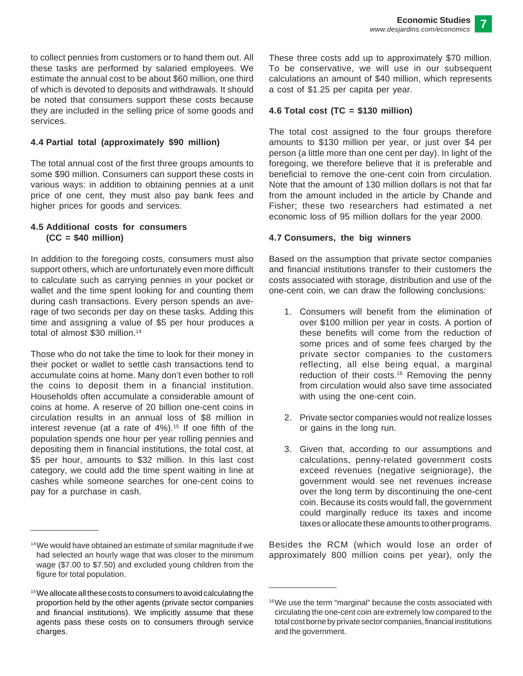to collect pennies from customers or to hand them out. All these tasks are performed by salaried employees. We estimate the annual cost to be about \$60 million, one third of which is devoted to deposits and withdrawals. It should be noted that consumers support these costs because they are included in the selling price of some goods and services.

# **4.4 Partial total (approximately \$90 million)**

The total annual cost of the first three groups amounts to some \$90 million. Consumers can support these costs in various ways: in addition to obtaining pennies at a unit price of one cent, they must also pay bank fees and higher prices for goods and services.

#### **4.5 Additional costs for consumers (CC = \$40 million)**

In addition to the foregoing costs, consumers must also support others, which are unfortunately even more difficult to calculate such as carrying pennies in your pocket or wallet and the time spent looking for and counting them during cash transactions. Every person spends an average of two seconds per day on these tasks. Adding this time and assigning a value of \$5 per hour produces a total of almost \$30 million.<sup>14</sup>

Those who do not take the time to look for their money in their pocket or wallet to settle cash transactions tend to accumulate coins at home. Many don't even bother to roll the coins to deposit them in a financial institution. Households often accumulate a considerable amount of coins at home. A reserve of 20 billion one-cent coins in circulation results in an annual loss of \$8 million in interest revenue (at a rate of  $4\%$ ).<sup>15</sup> If one fifth of the population spends one hour per year rolling pennies and depositing them in financial institutions, the total cost, at \$5 per hour, amounts to \$32 million. In this last cost category, we could add the time spent waiting in line at cashes while someone searches for one-cent coins to pay for a purchase in cash.

\_\_\_\_\_\_\_\_\_\_\_\_\_\_\_

These three costs add up to approximately \$70 million. To be conservative, we will use in our subsequent calculations an amount of \$40 million, which represents a cost of \$1.25 per capita per year.

#### **4.6 Total cost (TC = \$130 million)**

The total cost assigned to the four groups therefore amounts to \$130 million per year, or just over \$4 per person (a little more than one cent per day). In light of the foregoing, we therefore believe that it is preferable and beneficial to remove the one-cent coin from circulation. Note that the amount of 130 million dollars is not that far from the amount included in the article by Chande and Fisher; these two researchers had estimated a net economic loss of 95 million dollars for the year 2000.

#### **4.7 Consumers, the big winners**

Based on the assumption that private sector companies and financial institutions transfer to their customers the costs associated with storage, distribution and use of the one-cent coin, we can draw the following conclusions:

- 1. Consumers will benefit from the elimination of over \$100 million per year in costs. A portion of these benefits will come from the reduction of some prices and of some fees charged by the private sector companies to the customers reflecting, all else being equal, a marginal reduction of their costs.16 Removing the penny from circulation would also save time associated with using the one-cent coin.
- 2. Private sector companies would not realize losses or gains in the long run.
- 3. Given that, according to our assumptions and calculations, penny-related government costs exceed revenues (negative seigniorage), the government would see net revenues increase over the long term by discontinuing the one-cent coin. Because its costs would fall, the government could marginally reduce its taxes and income taxes or allocate these amounts to other programs.

Besides the RCM (which would lose an order of approximately 800 million coins per year), only the

<sup>&</sup>lt;sup>14</sup>We would have obtained an estimate of similar magnitude if we had selected an hourly wage that was closer to the minimum wage (\$7.00 to \$7.50) and excluded young children from the figure for total population.

 $15$  We allocate all these costs to consumers to avoid calculating the proportion held by the other agents (private sector companies and financial institutions). We implicitly assume that these agents pass these costs on to consumers through service charges.

<sup>&</sup>lt;sup>16</sup>We use the term "marginal" because the costs associated with circulating the one-cent coin are extremely low compared to the total cost borne by private sector companies, financial institutions and the government.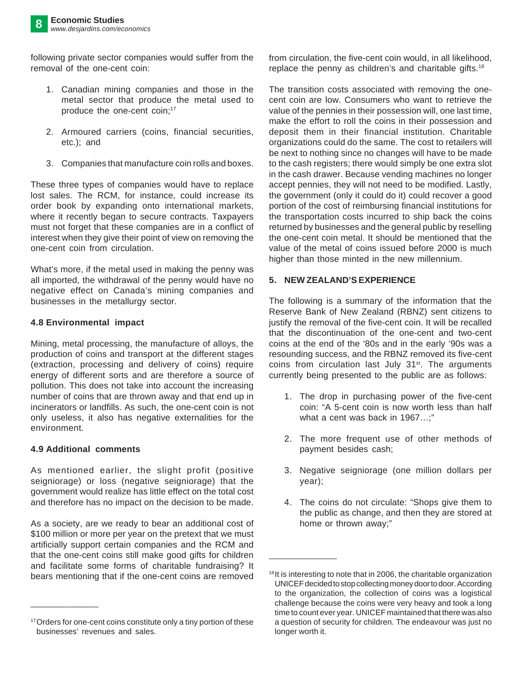following private sector companies would suffer from the removal of the one-cent coin:

- 1. Canadian mining companies and those in the metal sector that produce the metal used to produce the one-cent coin;<sup>17</sup>
- 2. Armoured carriers (coins, financial securities, etc.); and
- 3. Companies that manufacture coin rolls and boxes.

These three types of companies would have to replace lost sales. The RCM, for instance, could increase its order book by expanding onto international markets, where it recently began to secure contracts. Taxpayers must not forget that these companies are in a conflict of interest when they give their point of view on removing the one-cent coin from circulation.

What's more, if the metal used in making the penny was all imported, the withdrawal of the penny would have no negative effect on Canada's mining companies and businesses in the metallurgy sector.

# **4.8 Environmental impact**

Mining, metal processing, the manufacture of alloys, the production of coins and transport at the different stages (extraction, processing and delivery of coins) require energy of different sorts and are therefore a source of pollution. This does not take into account the increasing number of coins that are thrown away and that end up in incinerators or landfills. As such, the one-cent coin is not only useless, it also has negative externalities for the environment.

# **4.9 Additional comments**

\_\_\_\_\_\_\_\_\_\_\_\_\_\_\_

As mentioned earlier, the slight profit (positive seigniorage) or loss (negative seigniorage) that the government would realize has little effect on the total cost and therefore has no impact on the decision to be made.

As a society, are we ready to bear an additional cost of \$100 million or more per year on the pretext that we must artificially support certain companies and the RCM and that the one-cent coins still make good gifts for children and facilitate some forms of charitable fundraising? It bears mentioning that if the one-cent coins are removed

from circulation, the five-cent coin would, in all likelihood, replace the penny as children's and charitable gifts.18

The transition costs associated with removing the onecent coin are low. Consumers who want to retrieve the value of the pennies in their possession will, one last time, make the effort to roll the coins in their possession and deposit them in their financial institution. Charitable organizations could do the same. The cost to retailers will be next to nothing since no changes will have to be made to the cash registers; there would simply be one extra slot in the cash drawer. Because vending machines no longer accept pennies, they will not need to be modified. Lastly, the government (only it could do it) could recover a good portion of the cost of reimbursing financial institutions for the transportation costs incurred to ship back the coins returned by businesses and the general public by reselling the one-cent coin metal. It should be mentioned that the value of the metal of coins issued before 2000 is much higher than those minted in the new millennium.

# **5. NEW ZEALAND'S EXPERIENCE**

The following is a summary of the information that the Reserve Bank of New Zealand (RBNZ) sent citizens to justify the removal of the five-cent coin. It will be recalled that the discontinuation of the one-cent and two-cent coins at the end of the '80s and in the early '90s was a resounding success, and the RBNZ removed its five-cent coins from circulation last July 31<sup>st</sup>. The arguments currently being presented to the public are as follows:

- 1. The drop in purchasing power of the five-cent coin: "A 5-cent coin is now worth less than half what a cent was back in 1967...:"
- 2. The more frequent use of other methods of payment besides cash;
- 3. Negative seigniorage (one million dollars per year);
- 4. The coins do not circulate: "Shops give them to the public as change, and then they are stored at home or thrown away;"

<sup>&</sup>lt;sup>17</sup> Orders for one-cent coins constitute only a tiny portion of these businesses' revenues and sales.

<sup>&</sup>lt;sup>18</sup>It is interesting to note that in 2006, the charitable organization UNICEF decided to stop collecting money door to door. According to the organization, the collection of coins was a logistical challenge because the coins were very heavy and took a long time to count ever year. UNICEF maintained that there was also a question of security for children. The endeavour was just no longer worth it.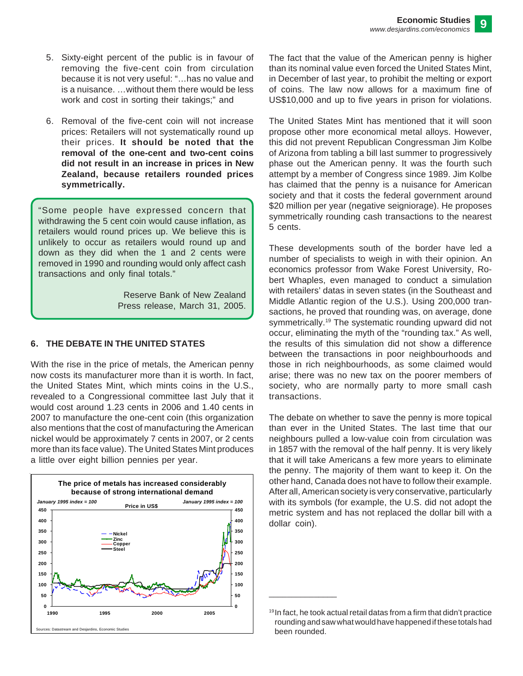- 5. Sixty-eight percent of the public is in favour of removing the five-cent coin from circulation because it is not very useful: "…has no value and is a nuisance. …without them there would be less work and cost in sorting their takings;" and
- 6. Removal of the five-cent coin will not increase prices: Retailers will not systematically round up their prices. **It should be noted that the removal of the one-cent and two-cent coins did not result in an increase in prices in New Zealand, because retailers rounded prices symmetrically.**

"Some people have expressed concern that withdrawing the 5 cent coin would cause inflation, as retailers would round prices up. We believe this is unlikely to occur as retailers would round up and down as they did when the 1 and 2 cents were removed in 1990 and rounding would only affect cash transactions and only final totals."

> Reserve Bank of New Zealand Press release, March 31, 2005.

# **6. THE DEBATE IN THE UNITED STATES**

With the rise in the price of metals, the American penny now costs its manufacturer more than it is worth. In fact, the United States Mint, which mints coins in the U.S., revealed to a Congressional committee last July that it would cost around 1.23 cents in 2006 and 1.40 cents in 2007 to manufacture the one-cent coin (this organization also mentions that the cost of manufacturing the American nickel would be approximately 7 cents in 2007, or 2 cents more than its face value). The United States Mint produces a little over eight billion pennies per year.



The fact that the value of the American penny is higher than its nominal value even forced the United States Mint, in December of last year, to prohibit the melting or export of coins. The law now allows for a maximum fine of US\$10,000 and up to five years in prison for violations.

The United States Mint has mentioned that it will soon propose other more economical metal alloys. However, this did not prevent Republican Congressman Jim Kolbe of Arizona from tabling a bill last summer to progressively phase out the American penny. It was the fourth such attempt by a member of Congress since 1989. Jim Kolbe has claimed that the penny is a nuisance for American society and that it costs the federal government around \$20 million per year (negative seigniorage). He proposes symmetrically rounding cash transactions to the nearest 5 cents.

These developments south of the border have led a number of specialists to weigh in with their opinion. An economics professor from Wake Forest University, Robert Whaples, even managed to conduct a simulation with retailers' datas in seven states (in the Southeast and Middle Atlantic region of the U.S.). Using 200,000 transactions, he proved that rounding was, on average, done symmetrically.<sup>19</sup> The systematic rounding upward did not occur, eliminating the myth of the "rounding tax." As well, the results of this simulation did not show a difference between the transactions in poor neighbourhoods and those in rich neighbourhoods, as some claimed would arise; there was no new tax on the poorer members of society, who are normally party to more small cash transactions.

The debate on whether to save the penny is more topical than ever in the United States. The last time that our neighbours pulled a low-value coin from circulation was in 1857 with the removal of the half penny. It is very likely that it will take Americans a few more years to eliminate the penny. The majority of them want to keep it. On the other hand, Canada does not have to follow their example. After all, American society is very conservative, particularly with its symbols (for example, the U.S. did not adopt the metric system and has not replaced the dollar bill with a dollar coin).

<sup>19</sup>In fact, he took actual retail datas from a firm that didn't practice rounding and saw what would have happened if these totals had been rounded.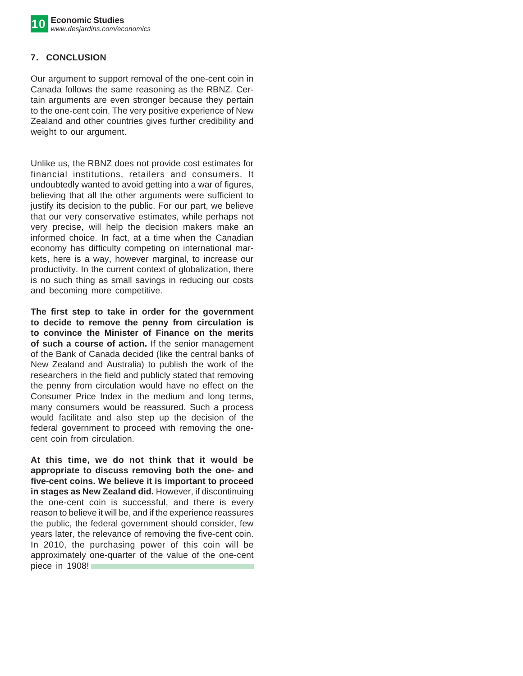# **7. CONCLUSION**

Our argument to support removal of the one-cent coin in Canada follows the same reasoning as the RBNZ. Certain arguments are even stronger because they pertain to the one-cent coin. The very positive experience of New Zealand and other countries gives further credibility and weight to our argument.

Unlike us, the RBNZ does not provide cost estimates for financial institutions, retailers and consumers. It undoubtedly wanted to avoid getting into a war of figures, believing that all the other arguments were sufficient to justify its decision to the public. For our part, we believe that our very conservative estimates, while perhaps not very precise, will help the decision makers make an informed choice. In fact, at a time when the Canadian economy has difficulty competing on international markets, here is a way, however marginal, to increase our productivity. In the current context of globalization, there is no such thing as small savings in reducing our costs and becoming more competitive.

**The first step to take in order for the government to decide to remove the penny from circulation is to convince the Minister of Finance on the merits of such a course of action.** If the senior management of the Bank of Canada decided (like the central banks of New Zealand and Australia) to publish the work of the researchers in the field and publicly stated that removing the penny from circulation would have no effect on the Consumer Price Index in the medium and long terms, many consumers would be reassured. Such a process would facilitate and also step up the decision of the federal government to proceed with removing the onecent coin from circulation.

**At this time, we do not think that it would be appropriate to discuss removing both the one- and five-cent coins. We believe it is important to proceed in stages as New Zealand did.** However, if discontinuing the one-cent coin is successful, and there is every reason to believe it will be, and if the experience reassures the public, the federal government should consider, few years later, the relevance of removing the five-cent coin. In 2010, the purchasing power of this coin will be approximately one-quarter of the value of the one-cent piece in 1908!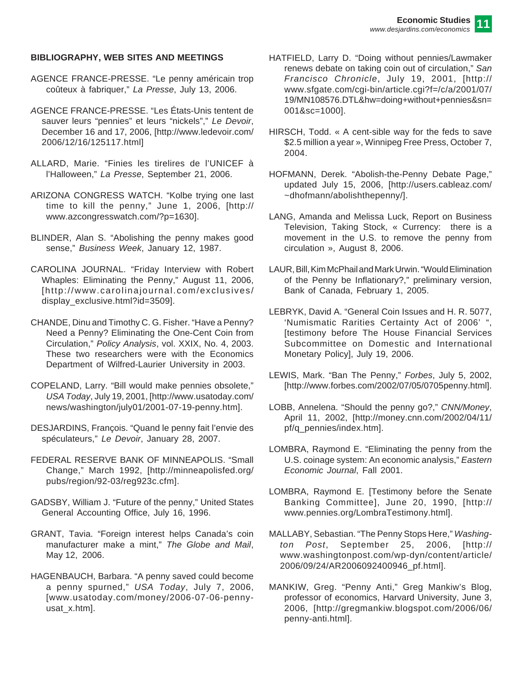#### **BIBLIOGRAPHY, WEB SITES AND MEETINGS**

- AGENCE FRANCE-PRESSE. "Le penny américain trop coûteux à fabriquer," *La Presse*, July 13, 2006.
- *A*GENCE FRANCE-PRESSE. "Les États-Unis tentent de sauver leurs "pennies" et leurs "nickels"," *Le Devoir*, December 16 and 17, 2006, [http://www.ledevoir.com/ 2006/12/16/125117.html]
- ALLARD, Marie. "Finies les tirelires de l'UNICEF à l'Halloween," *La Presse*, September 21, 2006.
- ARIZONA CONGRESS WATCH. "Kolbe trying one last time to kill the penny," June 1, 2006, [http:// www.azcongresswatch.com/?p=1630].
- BLINDER, Alan S. "Abolishing the penny makes good sense," *Business Week*, January 12, 1987.
- CAROLINA JOURNAL. "Friday Interview with Robert Whaples: Eliminating the Penny," August 11, 2006, [http://www.carolinajournal.com/exclusives/ display\_exclusive.html?id=3509].
- CHANDE, Dinu and Timothy C. G. Fisher. "Have a Penny? Need a Penny? Eliminating the One-Cent Coin from Circulation," *Policy Analysis*, vol. XXIX, No. 4, 2003. These two researchers were with the Economics Department of Wilfred-Laurier University in 2003.
- COPELAND, Larry. "Bill would make pennies obsolete," *USA Today*, July 19, 2001, [http://www.usatoday.com/ news/washington/july01/2001-07-19-penny.htm].
- DESJARDINS, François. "Quand le penny fait l'envie des spéculateurs," *Le Devoir*, January 28, 2007.
- FEDERAL RESERVE BANK OF MINNEAPOLIS. "Small Change," March 1992, [http://minneapolisfed.org/ pubs/region/92-03/reg923c.cfm].
- GADSBY, William J. "Future of the penny," United States General Accounting Office, July 16, 1996.
- GRANT, Tavia. "Foreign interest helps Canada's coin manufacturer make a mint," *The Globe and Mail*, May 12, 2006.
- HAGENBAUCH, Barbara. "A penny saved could become a penny spurned," *USA Today*, July 7, 2006, [www.usatoday.com/money/2006-07-06-pennyusat\_x.htm].
- HATFIELD, Larry D. "Doing without pennies/Lawmaker renews debate on taking coin out of circulation," *San Francisco Chronicle*, July 19, 2001, [http:// www.sfgate.com/cgi-bin/article.cgi?f=/c/a/2001/07/ 19/MN108576.DTL&hw=doing+without+pennies&sn= 001&sc=1000].
- HIRSCH, Todd. « A cent-sible way for the feds to save \$2.5 million a year », Winnipeg Free Press, October 7, 2004.
- HOFMANN, Derek. "Abolish-the-Penny Debate Page," updated July 15, 2006, [http://users.cableaz.com/ ~dhofmann/abolishthepenny/].
- LANG, Amanda and Melissa Luck, Report on Business Television, Taking Stock, « Currency: there is a movement in the U.S. to remove the penny from circulation », August 8, 2006.
- LAUR, Bill, Kim McPhail and Mark Urwin. "Would Elimination of the Penny be Inflationary?," preliminary version, Bank of Canada, February 1, 2005.
- LEBRYK, David A. "General Coin Issues and H. R. 5077, 'Numismatic Rarities Certainty Act of 2006' ", [testimony before The House Financial Services Subcommittee on Domestic and International Monetary Policy], July 19, 2006.
- LEWIS, Mark. "Ban The Penny," *Forbes*, July 5, 2002, [http://www.forbes.com/2002/07/05/0705penny.html].
- LOBB, Annelena. "Should the penny go?," *CNN/Money*, April 11, 2002, [http://money.cnn.com/2002/04/11/ pf/q\_pennies/index.htm].
- LOMBRA, Raymond E. "Eliminating the penny from the U.S. coinage system: An economic analysis," *Eastern Economic Journal*, Fall 2001.
- LOMBRA, Raymond E. [Testimony before the Senate Banking Committee], June 20, 1990, [http:// www.pennies.org/LombraTestimony.html].
- MALLABY, Sebastian. "The Penny Stops Here," *Washington Post*, September 25, 2006, [http:// www.washingtonpost.com/wp-dyn/content/article/ 2006/09/24/AR2006092400946\_pf.html].
- MANKIW, Greg. "Penny Anti," Greg Mankiw's Blog, professor of economics, Harvard University, June 3, 2006, [http://gregmankiw.blogspot.com/2006/06/ penny-anti.html].